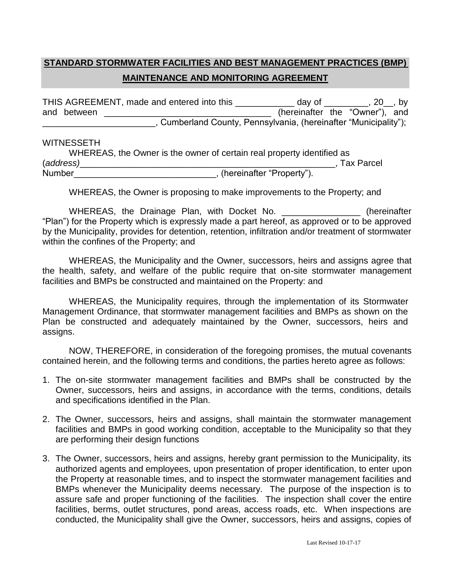## **STANDARD STORMWATER FACILITIES AND BEST MANAGEMENT PRACTICES (BMP) MAINTENANCE AND MONITORING AGREEMENT**

THIS AGREEMENT, made and entered into this \_\_\_\_\_\_\_\_\_\_\_\_ day of \_\_\_\_\_\_\_\_, 20\_, by and between \_\_\_\_\_\_\_\_\_\_\_\_\_\_\_\_\_\_\_\_\_\_\_\_\_\_\_\_\_\_\_\_\_\_ (hereinafter the "Owner"), and \_\_\_\_\_\_\_\_\_\_\_\_\_\_\_\_\_\_\_\_\_\_\_, Cumberland County, Pennsylvania, (hereinafter "Municipality");

## WITNESSETH

|               | WHEREAS, the Owner is the owner of certain real property identified as |                   |
|---------------|------------------------------------------------------------------------|-------------------|
| (address)     |                                                                        | <b>Tax Parcel</b> |
| <b>Number</b> | , (hereinafter "Property").                                            |                   |

WHEREAS, the Owner is proposing to make improvements to the Property; and

WHEREAS, the Drainage Plan, with Docket No. **Example 20 and The United States** (hereinafter "Plan") for the Property which is expressly made a part hereof, as approved or to be approved by the Municipality, provides for detention, retention, infiltration and/or treatment of stormwater within the confines of the Property; and

WHEREAS, the Municipality and the Owner, successors, heirs and assigns agree that the health, safety, and welfare of the public require that on-site stormwater management facilities and BMPs be constructed and maintained on the Property: and

WHEREAS, the Municipality requires, through the implementation of its Stormwater Management Ordinance, that stormwater management facilities and BMPs as shown on the Plan be constructed and adequately maintained by the Owner, successors, heirs and assigns.

NOW, THEREFORE, in consideration of the foregoing promises, the mutual covenants contained herein, and the following terms and conditions, the parties hereto agree as follows:

- 1. The on-site stormwater management facilities and BMPs shall be constructed by the Owner, successors, heirs and assigns, in accordance with the terms, conditions, details and specifications identified in the Plan.
- 2. The Owner, successors, heirs and assigns, shall maintain the stormwater management facilities and BMPs in good working condition, acceptable to the Municipality so that they are performing their design functions
- 3. The Owner, successors, heirs and assigns, hereby grant permission to the Municipality, its authorized agents and employees, upon presentation of proper identification, to enter upon the Property at reasonable times, and to inspect the stormwater management facilities and BMPs whenever the Municipality deems necessary. The purpose of the inspection is to assure safe and proper functioning of the facilities. The inspection shall cover the entire facilities, berms, outlet structures, pond areas, access roads, etc. When inspections are conducted, the Municipality shall give the Owner, successors, heirs and assigns, copies of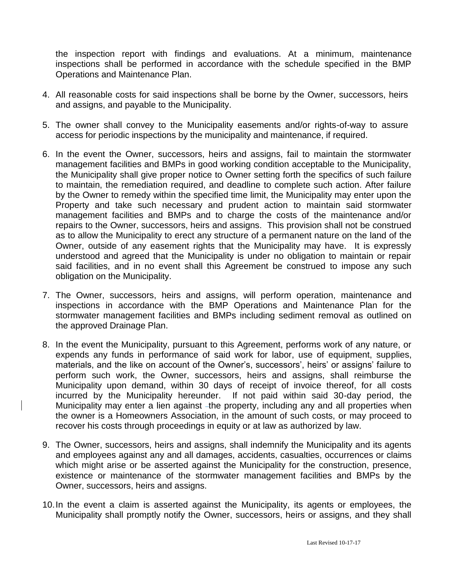the inspection report with findings and evaluations. At a minimum, maintenance inspections shall be performed in accordance with the schedule specified in the BMP Operations and Maintenance Plan.

- 4. All reasonable costs for said inspections shall be borne by the Owner, successors, heirs and assigns, and payable to the Municipality.
- 5. The owner shall convey to the Municipality easements and/or rights-of-way to assure access for periodic inspections by the municipality and maintenance, if required.
- 6. In the event the Owner, successors, heirs and assigns, fail to maintain the stormwater management facilities and BMPs in good working condition acceptable to the Municipality, the Municipality shall give proper notice to Owner setting forth the specifics of such failure to maintain, the remediation required, and deadline to complete such action. After failure by the Owner to remedy within the specified time limit, the Municipality may enter upon the Property and take such necessary and prudent action to maintain said stormwater management facilities and BMPs and to charge the costs of the maintenance and/or repairs to the Owner, successors, heirs and assigns. This provision shall not be construed as to allow the Municipality to erect any structure of a permanent nature on the land of the Owner, outside of any easement rights that the Municipality may have. It is expressly understood and agreed that the Municipality is under no obligation to maintain or repair said facilities, and in no event shall this Agreement be construed to impose any such obligation on the Municipality.
- 7. The Owner, successors, heirs and assigns, will perform operation, maintenance and inspections in accordance with the BMP Operations and Maintenance Plan for the stormwater management facilities and BMPs including sediment removal as outlined on the approved Drainage Plan.
- 8. In the event the Municipality, pursuant to this Agreement, performs work of any nature, or expends any funds in performance of said work for labor, use of equipment, supplies, materials, and the like on account of the Owner's, successors', heirs' or assigns' failure to perform such work, the Owner, successors, heirs and assigns, shall reimburse the Municipality upon demand, within 30 days of receipt of invoice thereof, for all costs incurred by the Municipality hereunder. If not paid within said 30-day period, the Municipality may enter a lien against -the property, including any and all properties when the owner is a Homeowners Association, in the amount of such costs, or may proceed to recover his costs through proceedings in equity or at law as authorized by law.
- 9. The Owner, successors, heirs and assigns, shall indemnify the Municipality and its agents and employees against any and all damages, accidents, casualties, occurrences or claims which might arise or be asserted against the Municipality for the construction, presence, existence or maintenance of the stormwater management facilities and BMPs by the Owner, successors, heirs and assigns.
- 10.In the event a claim is asserted against the Municipality, its agents or employees, the Municipality shall promptly notify the Owner, successors, heirs or assigns, and they shall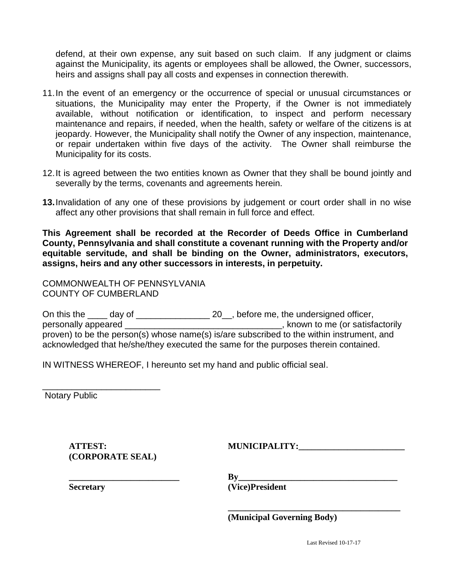defend, at their own expense, any suit based on such claim. If any judgment or claims against the Municipality, its agents or employees shall be allowed, the Owner, successors, heirs and assigns shall pay all costs and expenses in connection therewith.

- 11.In the event of an emergency or the occurrence of special or unusual circumstances or situations, the Municipality may enter the Property, if the Owner is not immediately available, without notification or identification, to inspect and perform necessary maintenance and repairs, if needed, when the health, safety or welfare of the citizens is at jeopardy. However, the Municipality shall notify the Owner of any inspection, maintenance, or repair undertaken within five days of the activity. The Owner shall reimburse the Municipality for its costs.
- 12.It is agreed between the two entities known as Owner that they shall be bound jointly and severally by the terms, covenants and agreements herein.
- **13.**Invalidation of any one of these provisions by judgement or court order shall in no wise affect any other provisions that shall remain in full force and effect.

**This Agreement shall be recorded at the Recorder of Deeds Office in Cumberland County, Pennsylvania and shall constitute a covenant running with the Property and/or equitable servitude, and shall be binding on the Owner, administrators, executors, assigns, heirs and any other successors in interests, in perpetuity.**

COMMONWEALTH OF PENNSYLVANIA COUNTY OF CUMBERLAND

On this the \_\_\_\_ day of \_\_\_\_\_\_\_\_\_\_\_\_\_\_\_\_\_\_\_ 20\_, before me, the undersigned officer, personally appeared \_\_\_\_\_\_\_\_\_\_\_\_\_\_\_\_\_\_\_\_\_\_\_\_\_\_\_\_\_\_\_\_, known to me (or satisfactorily proven) to be the person(s) whose name(s) is/are subscribed to the within instrument, and acknowledged that he/she/they executed the same for the purposes therein contained.

IN WITNESS WHEREOF, I hereunto set my hand and public official seal.

Notary Public

 $\blacksquare$  **ATTEST:**  $\blacksquare$   $\blacksquare$   $\blacksquare$   $\blacksquare$   $\blacksquare$   $\blacksquare$   $\blacksquare$   $\blacksquare$   $\blacksquare$   $\blacksquare$   $\blacksquare$   $\blacksquare$   $\blacksquare$   $\blacksquare$   $\blacksquare$   $\blacksquare$   $\blacksquare$   $\blacksquare$   $\blacksquare$   $\blacksquare$   $\blacksquare$   $\blacksquare$   $\blacksquare$   $\blacksquare$   $\blacksquare$   $\blacksquare$   $\blacksquare$   $\blacksquare$   $\blacksquare$   $\$ **(CORPORATE SEAL)**

\_\_\_\_\_\_\_\_\_\_\_\_\_\_\_\_\_\_\_\_\_\_\_\_

**Secretary (Vice)President** 

 $\mathbf{B} \mathbf{v}$ 

**(Municipal Governing Body)**

**\_\_\_\_\_\_\_\_\_\_\_\_\_\_\_\_\_\_\_\_\_\_\_\_\_\_\_\_\_\_\_\_\_\_\_\_\_\_\_**